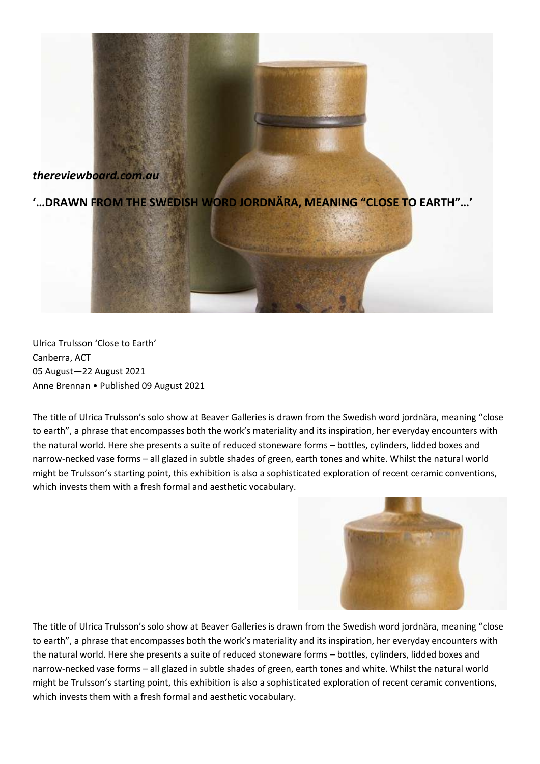## *thereviewboard.com.au*

**'…DRAWN FROM THE SWEDISH WORD JORDNÄRA, MEANING "CLOSE TO EARTH"…'**

Ulrica Trulsson 'Close to Earth' Canberra, ACT 05 August—22 August 2021 Anne Brennan • Published 09 August 2021

The title of Ulrica Trulsson's solo show at Beaver Galleries is drawn from the Swedish word jordnära, meaning "close to earth", a phrase that encompasses both the work's materiality and its inspiration, her everyday encounters with the natural world. Here she presents a suite of reduced stoneware forms – bottles, cylinders, lidded boxes and narrow-necked vase forms – all glazed in subtle shades of green, earth tones and white. Whilst the natural world might be Trulsson's starting point, this exhibition is also a sophisticated exploration of recent ceramic conventions, which invests them with a fresh formal and aesthetic vocabulary.



The title of Ulrica Trulsson's solo show at Beaver Galleries is drawn from the Swedish word jordnära, meaning "close to earth", a phrase that encompasses both the work's materiality and its inspiration, her everyday encounters with the natural world. Here she presents a suite of reduced stoneware forms – bottles, cylinders, lidded boxes and narrow-necked vase forms – all glazed in subtle shades of green, earth tones and white. Whilst the natural world might be Trulsson's starting point, this exhibition is also a sophisticated exploration of recent ceramic conventions, which invests them with a fresh formal and aesthetic vocabulary.